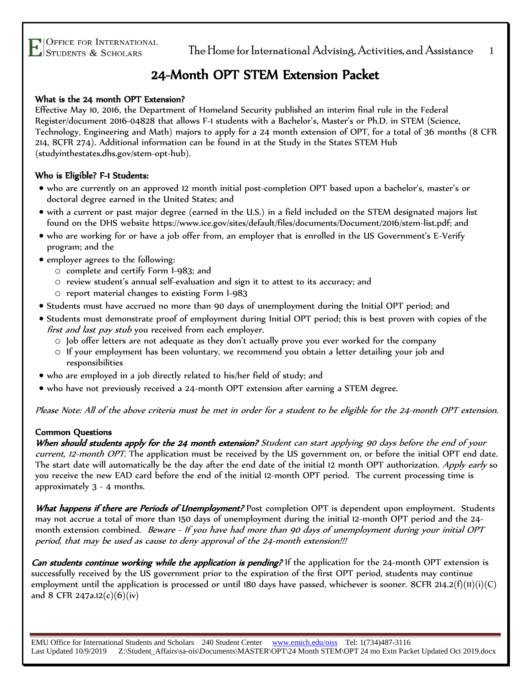## 24-Month OPT STEM Extension Packet

#### What is the 24 month OPT Extension?

Effective May 10, 2016, the Department of Homeland Security published an interim final rule in the Federal Register/document 2016-04828 that allows F-1 students with a Bachelor's, Master's or Ph.D. in STEM (Science, Technology, Engineering and Math) majors to apply for a 24 month extension of OPT, for a total of 36 months (8 CFR 214, 8CFR 274). Additional information can be found in at the Study in the States STEM Hub (studyinthestates.dhs.gov/stem-opt-hub).

#### Who is Eligible? F-1 Students:

- who are currently on an approved 12 month initial post-completion OPT based upon a bachelor's, master's or doctoral degree earned in the United States; and
- with a current or past major degree (earned in the U.S.) in a field included on the STEM designated majors list found on the DHS website https://www.ice.gov/sites/default/files/documents/Document/2016/stem-list.pdf; and
- who are working for or have a job offer from, an employer that is enrolled in the US Government's E-Verify program; and the
- employer agrees to the following:
	- o complete and certify Form I-983; and
	- o review student's annual self-evaluation and sign it to attest to its accuracy; and
	- o report material changes to existing Form I-983
- Students must have accrued no more than 90 days of unemployment during the Initial OPT period; and
- Students must demonstrate proof of employment during Initial OPT period; this is best proven with copies of the first and last pay stub you received from each employer.
	- $\circ$  Job offer letters are not adequate as they don't actually prove you ever worked for the company
	- o If your employment has been voluntary, we recommend you obtain a letter detailing your job and responsibilities
- who are employed in a job directly related to his/her field of study; and
- who have not previously received a 24-month OPT extension after earning a STEM degree.

Please Note: All of the above criteria must be met in order for a student to be eligible for the 24-month OPT extension.

#### Common Questions

When should students apply for the 24 month extension? Student can start applying 90 days before the end of your current, 12-month OPT. The application must be received by the US government on, or before the initial OPT end date. The start date will automatically be the day after the end date of the initial 12 month OPT authorization. Apply early so you receive the new EAD card before the end of the initial 12-month OPT period. The current processing time is approximately 3 - 4 months.

What happens if there are Periods of Unemployment? Post completion OPT is dependent upon employment. Students may not accrue a total of more than 150 days of unemployment during the initial 12-month OPT period and the 24 month extension combined. Beware - If you have had more than 90 days of unemployment during your initial OPT period, that may be used as cause to deny approval of the 24-month extension!!!

Can students continue working while the application is pending? If the application for the 24-month OPT extension is successfully received by the US government prior to the expiration of the first OPT period, students may continue employment until the application is processed or until 180 days have passed, whichever is sooner. 8CFR 214.2(f)(11)(i)(C) and 8 CFR 247a.12(c)(6)(iv)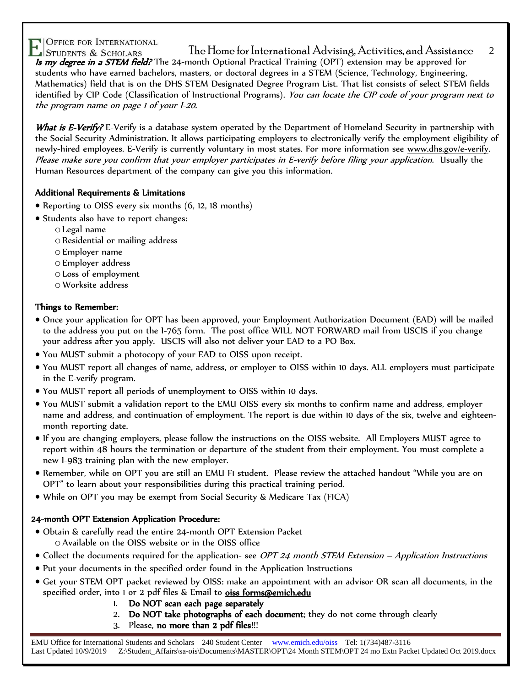$\Gamma$ |Office for International  $\Gamma$  and Assistance 2  $\Gamma$ |Students & Scholars  $\Gamma$  and  $\Gamma$ Is my degree in a STEM field? The 24-month Optional Practical Training (OPT) extension may be approved for students who have earned bachelors, masters, or doctoral degrees in a STEM (Science, Technology, Engineering, Mathematics) field that is on the DHS STEM Designated Degree Program List. That list consists of select STEM fields identified by [CIP Code](http://nces.ed.gov/pubs2002/cip2000/) (Classification of Instructional Programs). You can locate the CIP code of your program next to the program name on page 1 of your I-20.

What is E-Verify? E-Verify is a database system operated by the Department of Homeland Security in partnership with the Social Security Administration. It allows participating employers to electronically verify the employment eligibility of newly-hired employees. E-Verify is currently voluntary in most states. For more information see [www.dhs.gov/e-verify.](http://www.dhs.gov/e-verify) Please make sure you confirm that your employer participates in E-verify before filing your application. Usually the Human Resources department of the company can give you this information.

#### Additional Requirements & Limitations

- Reporting to OISS every six months (6, 12, 18 months)
- Students also have to report changes:
	- o Legal name
	- o Residential or mailing address
	- o Employer name
	- o Employer address
	- o Loss of employment
	- o Worksite address

#### Things to Remember:

- Once your application for OPT has been approved, your Employment Authorization Document (EAD) will be mailed to the address you put on the I-765 form. The post office WILL NOT FORWARD mail from USCIS if you change your address after you apply. USCIS will also not deliver your EAD to a PO Box.
- You MUST submit a photocopy of your EAD to OISS upon receipt.
- You MUST report all changes of name, address, or employer to OISS within 10 days. ALL employers must participate in the E-verify program.
- You MUST report all periods of unemployment to OISS within 10 days.
- You MUST submit a validation report to the EMU OISS every six months to confirm name and address, employer name and address, and continuation of employment. The report is due within 10 days of the six, twelve and eighteenmonth reporting date.
- If you are changing employers, please follow the instructions on the OISS website. All Employers MUST agree to report within 48 hours the termination or departure of the student from their employment. You must complete a new I-983 training plan with the new employer.
- Remember, while on OPT you are still an EMU F1 student. Please review the attached handout "While you are on OPT" to learn about your responsibilities during this practical training period.
- While on OPT you may be exempt from Social Security & Medicare Tax (FICA)

#### 24-month OPT Extension Application Procedure:

- Obtain & carefully read the entire 24-month OPT Extension Packet o Available on the [OISS](http://www.emich.edu/ois/intnlstudents/forms.php) website or in the OISS office
- Collect the documents required for the application- see *OPT 24 month STEM Extension Application Instructions*
- Put your documents in the specified order found in the Application Instructions
- Get your STEM OPT packet reviewed by OISS: make an appointment with an advisor OR scan all documents, in the specified order, into 1 or 2 pdf files & Email to oiss forms@emich.edu
	- Do NOT scan each page separately
	- 2. Do NOT take photographs of each document; they do not come through clearly
	- 3. Please, no more than 2 pdf files!!!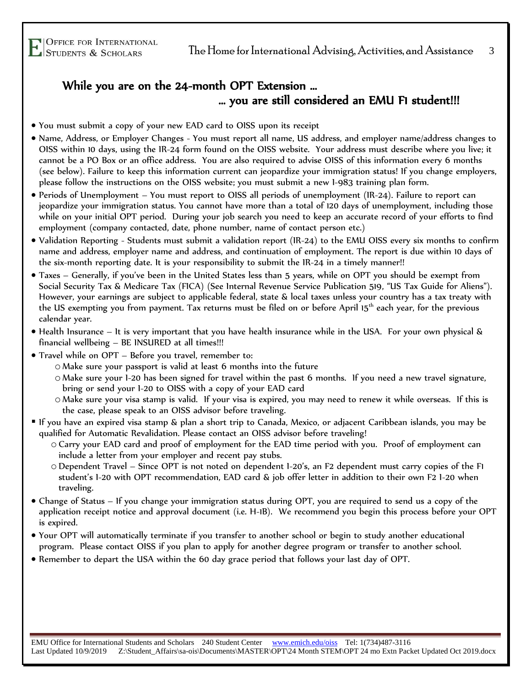### While you are on the 24-month OPT Extension … … you are still considered an EMU F1 student!!!

- You must submit a copy of your new EAD card to OISS upon its receipt
- Name, Address, or Employer Changes You must report all name, US address, and employer name/address changes to OISS within 10 days, using the IR-24 form found on the OISS website. Your address must describe where you live; it cannot be a PO Box or an office address. You are also required to advise OISS of this information every 6 months (see below). Failure to keep this information current can jeopardize your immigration status! If you change employers, please follow the instructions on the OISS website; you must submit a new I-983 training plan form.
- Periods of Unemployment You must report to OISS all periods of unemployment (IR-24). Failure to report can jeopardize your immigration status. You cannot have more than a total of 120 days of unemployment, including those while on your initial OPT period. During your job search you need to keep an accurate record of your efforts to find employment (company contacted, date, phone number, name of contact person etc.)
- Validation Reporting Students must submit a validation report (IR-24) to the EMU OISS every six months to confirm name and address, employer name and address, and continuation of employment. The report is due within 10 days of the six-month reporting date. It is your responsibility to submit the IR-24 in a timely manner!!
- Taxes Generally, if you've been in the United States less than 5 years, while on OPT you should be exempt from Social Security Tax & Medicare Tax (FICA) (See Internal Revenue Service Publication 519, "US Tax Guide for Aliens"). However, your earnings are subject to applicable federal, state & local taxes unless your country has a tax treaty with the US exempting you from payment. Tax returns must be filed on or before April 15<sup>th</sup> each year, for the previous calendar year.
- Health Insurance It is very important that you have health insurance while in the USA. For your own physical & financial wellbeing – BE INSURED at all times!!!
- Travel while on OPT Before you travel, remember to:
	- o Make sure your passport is valid at least 6 months into the future
	- o Make sure your I-20 has been signed for travel within the past 6 months. If you need a new travel signature, bring or send your I-20 to OISS with a copy of your EAD card
	- o Make sure your visa stamp is valid. If your visa is expired, you may need to renew it while overseas. If this is the case, please speak to an OISS advisor before traveling.
- If you have an expired visa stamp & plan a short trip to Canada, Mexico, or adjacent Caribbean islands, you may be qualified for Automatic Revalidation. Please contact an OISS advisor before traveling!
	- o Carry your EAD card and proof of employment for the EAD time period with you. Proof of employment can include a letter from your employer and recent pay stubs.
	- oDependent Travel Since OPT is not noted on dependent I-20's, an F2 dependent must carry copies of the F1 student's I-20 with OPT recommendation, EAD card & job offer letter in addition to their own F2 I-20 when traveling.
- Change of Status If you change your immigration status during OPT, you are required to send us a copy of the application receipt notice and approval document (i.e. H-1B). We recommend you begin this process before your OPT is expired.
- Your OPT will automatically terminate if you transfer to another school or begin to study another educational program. Please contact OISS if you plan to apply for another degree program or transfer to another school.
- Remember to depart the USA within the 60 day grace period that follows your last day of OPT.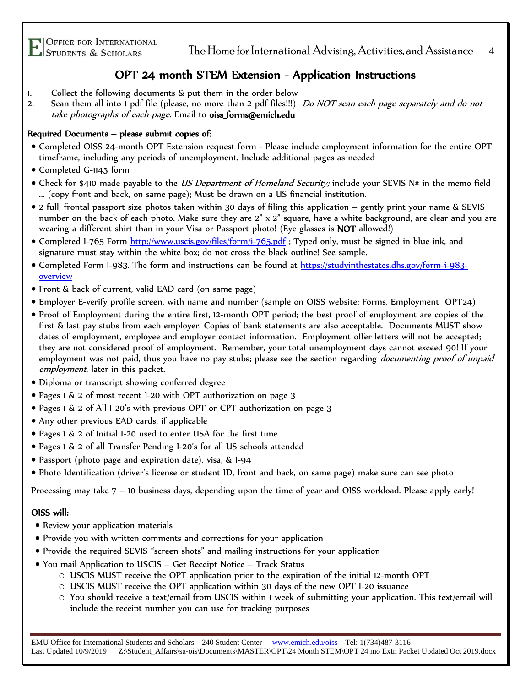TOFFICE FOR INTERNATIONAL<br>Students & Scholars The Home for International Advising, Activities, and Assistance 4

### OPT 24 month STEM Extension - Application Instructions

- 1. Collect the following documents & put them in the order below
- 2. Scan them all into 1 pdf file (please, no more than 2 pdf files!!!) Do NOT scan each page separately and do not take photographs of each page. Email to **oiss\_forms@emich.edu**

#### Required Documents – please submit copies of:

- Completed OISS 24-month OPT Extension request form Please include employment information for the entire OPT timeframe, including any periods of unemployment. Include additional pages as needed
- Completed G-1145 form
- Check for \$410 made payable to the *US Department of Homeland Security;* include your SEVIS N# in the memo field ... (copy front and back, on same page); Must be drawn on a US financial institution.
- 2 full, frontal passport size photos taken within 30 days of filing this application gently print your name & SEVIS number on the back of each photo. Make sure they are 2" x 2" square, have a white background, are clear and you are wearing a different shirt than in your Visa or Passport photo! (Eye glasses is NOT allowed!)
- Completed 1-765 Form<http://www.uscis.gov/files/form/i-765.pdf> ; Typed only, must be signed in blue ink, and signature must stay within the white box; do not cross the black outline! See sample.
- Completed Form I-983. The form and instructions can be found at [https://studyinthestates.dhs.gov/form-i-983](https://studyinthestates.dhs.gov/form-i-983-overview) [overview](https://studyinthestates.dhs.gov/form-i-983-overview)
- Front & back of current, valid EAD card (on same page)
- Employer E-verify profile screen, with name and number (sample on OISS website: Forms, Employment OPT24)
- Proof of Employment during the entire first, 12-month OPT period; the best proof of employment are copies of the first & last pay stubs from each employer. Copies of bank statements are also acceptable. Documents MUST show dates of employment, employee and employer contact information. Employment offer letters will not be accepted; they are not considered proof of employment. Remember, your total unemployment days cannot exceed 90! If your employment was not paid, thus you have no pay stubs; please see the section regarding *documenting proof of unpaid* employment, later in this packet.
- Diploma or transcript showing conferred degree
- Pages 1 & 2 of most recent I-20 with OPT authorization on page 3
- Pages 1 & 2 of All I-20's with previous OPT or CPT authorization on page 3
- Any other previous EAD cards, if applicable
- Pages 1 & 2 of Initial I-20 used to enter USA for the first time
- Pages 1 & 2 of all Transfer Pending I-20's for all US schools attended
- Passport (photo page and expiration date), visa, & I-94
- Photo Identification (driver's license or student ID, front and back, on same page) make sure can see photo

Processing may take 7 – 10 business days, depending upon the time of year and OISS workload. Please apply early!

#### OISS will:

- Review your application materials
- Provide you with written comments and corrections for your application
- Provide the required SEVIS "screen shots" and mailing instructions for your application
- You mail Application to USCIS Get Receipt Notice Track Status
	- o USCIS MUST receive the OPT application prior to the expiration of the initial 12-month OPT
	- o USCIS MUST receive the OPT application within 30 days of the new OPT I-20 issuance
	- o You should receive a text/email from USCIS within 1 week of submitting your application. This text/email will include the receipt number you can use for tracking purposes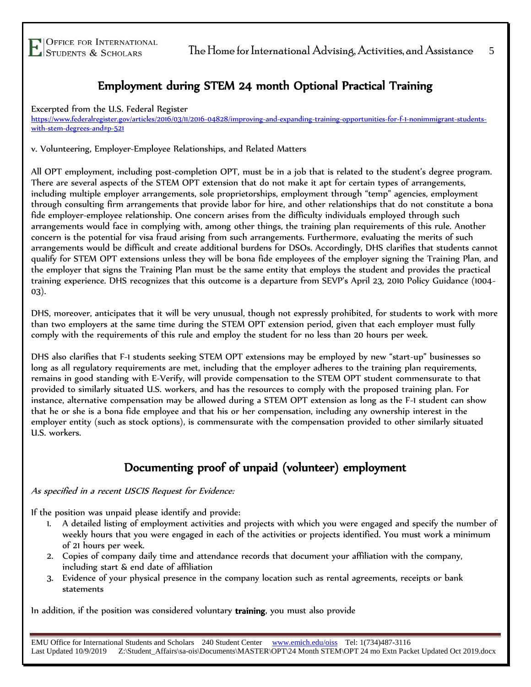### Employment during STEM 24 month Optional Practical Training

Excerpted from the U.S. Federal Register

[https://www.federalregister.gov/articles/2016/03/11/2016-04828/improving-and-expanding-training-opportunities-for-f-1-nonimmigrant-students](https://www.federalregister.gov/articles/2016/03/11/2016-04828/improving-and-expanding-training-opportunities-for-f-1-nonimmigrant-students-with-stem-degrees-and#p-521)[with-stem-degrees-and#p-521](https://www.federalregister.gov/articles/2016/03/11/2016-04828/improving-and-expanding-training-opportunities-for-f-1-nonimmigrant-students-with-stem-degrees-and#p-521)

v. Volunteering, Employer-Employee Relationships, and Related Matters

All OPT employment, including post-completion OPT, must be in a job that is related to the student's degree program. There are several aspects of the STEM OPT extension that do not make it apt for certain types of arrangements, including multiple employer arrangements, sole proprietorships, employment through "temp" agencies, employment through consulting firm arrangements that provide labor for hire, and other relationships that do not constitute a bona fide employer-employee relationship. One concern arises from the difficulty individuals employed through such arrangements would face in complying with, among other things, the training plan requirements of this rule. Another concern is the potential for visa fraud arising from such arrangements. Furthermore, evaluating the merits of such arrangements would be difficult and create additional burdens for DSOs. Accordingly, DHS clarifies that students cannot qualify for STEM OPT extensions unless they will be bona fide employees of the employer signing the Training Plan, and the employer that signs the Training Plan must be the same entity that employs the student and provides the practical training experience. DHS recognizes that this outcome is a departure from SEVP's April 23, 2010 Policy Guidance (1004- 03).

DHS, moreover, anticipates that it will be very unusual, though not expressly prohibited, for students to work with more than two employers at the same time during the STEM OPT extension period, given that each employer must fully comply with the requirements of this rule and employ the student for no less than 20 hours per week.

DHS also clarifies that F-1 students seeking STEM OPT extensions may be employed by new "start-up" businesses so long as all regulatory requirements are met, including that the employer adheres to the training plan requirements, remains in good standing with E-Verify, will provide compensation to the STEM OPT student commensurate to that provided to similarly situated U.S. workers, and has the resources to comply with the proposed training plan. For instance, alternative compensation may be allowed during a STEM OPT extension as long as the F-1 student can show that he or she is a bona fide employee and that his or her compensation, including any ownership interest in the employer entity (such as stock options), is commensurate with the compensation provided to other similarly situated U.S. workers.

### Documenting proof of unpaid (volunteer) employment

As specified in a recent USCIS Request for Evidence:

If the position was unpaid please identify and provide:

- 1. A detailed listing of employment activities and projects with which you were engaged and specify the number of weekly hours that you were engaged in each of the activities or projects identified. You must work a minimum of 21 hours per week.
- 2. Copies of company daily time and attendance records that document your affiliation with the company, including start & end date of affiliation
- 3. Evidence of your physical presence in the company location such as rental agreements, receipts or bank statements

In addition, if the position was considered voluntary training, you must also provide

EMU Office for International Students and Scholars 240 Student Center [www.emich.edu/oiss](http://www.emich.edu/ois) Tel: 1(734)487-3116 Last Updated 10/9/2019 Z:\Student\_Affairs\sa-ois\Documents\MASTER\OPT\24 Month STEM\OPT 24 mo Extn Packet Updated Oct 2019.docx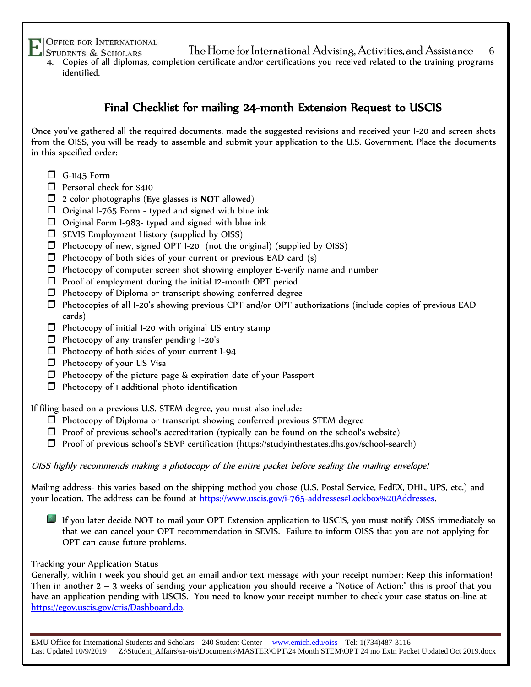- VOFFICE FOR INTERNATIONAL<br>Students & Scholars The Home for International Advising, Activities, and Assistance 4. Copies of all diplomas, completion certificate and/or certifications you received related to the training programs
	- identified.

### Final Checklist for mailing 24-month Extension Request to USCIS

Once you've gathered all the required documents, made the suggested revisions and received your I-20 and screen shots from the OISS, you will be ready to assemble and submit your application to the U.S. Government. Place the documents in this specified order:

- $\Box$  G-1145 Form
- **D** Personal check for \$410
- $\Box$  2 color photographs (Eye glasses is NOT allowed)
- $\Box$  Original 1-765 Form typed and signed with blue ink
- $\Box$  Original Form 1-983- typed and signed with blue ink
- $\Box$  SEVIS Employment History (supplied by OISS)
- $\Box$  Photocopy of new, signed OPT 1-20 (not the original) (supplied by OISS)
- $\Box$  Photocopy of both sides of your current or previous EAD card (s)
- $\Box$  Photocopy of computer screen shot showing employer E-verify name and number
- $\Box$  Proof of employment during the initial 12-month OPT period
- Photocopy of Diploma or transcript showing conferred degree
- $\Box$  Photocopies of all 1-20's showing previous CPT and/or OPT authorizations (include copies of previous EAD cards)
- $\Box$  Photocopy of initial 1-20 with original US entry stamp
- $\Box$  Photocopy of any transfer pending  $1-20$ 's
- Photocopy of both sides of your current I-94
- $\Box$  Photocopy of your US Visa
- $\Box$  Photocopy of the picture page & expiration date of your Passport
- $\Box$  Photocopy of 1 additional photo identification

If filing based on a previous U.S. STEM degree, you must also include:

- $\Box$  Photocopy of Diploma or transcript showing conferred previous STEM degree
- $\Box$  Proof of previous school's accreditation (typically can be found on the school's website)
- Proof of previous school's SEVP certification (https://studyinthestates.dhs.gov/school-search)

OISS highly recommends making a photocopy of the entire packet before sealing the mailing envelope!

Mailing address- this varies based on the shipping method you chose (U.S. Postal Service, FedEX, DHL, UPS, etc.) and your location. The address can be found at [https://www.uscis.gov/i-765-addresses#Lockbox%20Addresses.](https://www.uscis.gov/i-765-addresses#Lockbox%20Addresses)

If you later decide NOT to mail your OPT Extension application to USCIS, you must notify OISS immediately so that we can cancel your OPT recommendation in SEVIS. Failure to inform OISS that you are not applying for OPT can cause future problems.

#### Tracking your Application Status

Generally, within 1 week you should get an email and/or text message with your receipt number; Keep this information! Then in another 2 – 3 weeks of sending your application you should receive a "Notice of Action;" this is proof that you have an application pending with USCIS. You need to know your receipt number to check your case status on-line at [https://egov.uscis.gov/cris/Dashboard.do.](https://egov.uscis.gov/cris/Dashboard.do)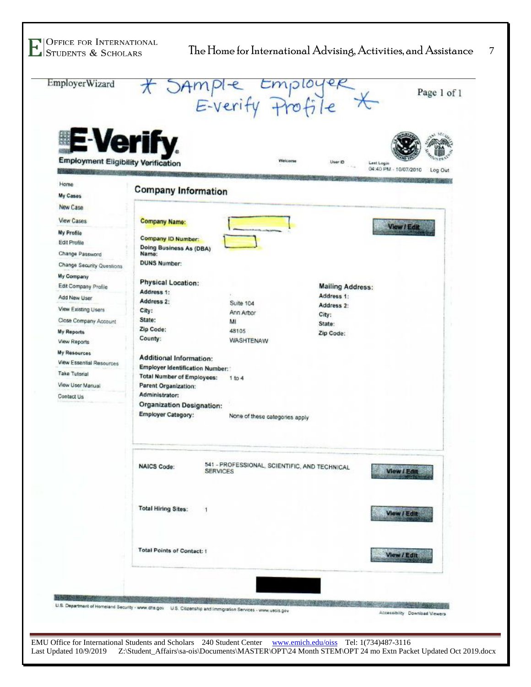H



Last Updated 10/9/2019 Z:\Student\_Affairs\sa-ois\Documents\MASTER\OPT\24 Month STEM\OPT 24 mo Extn Packet Updated Oct 2019.docx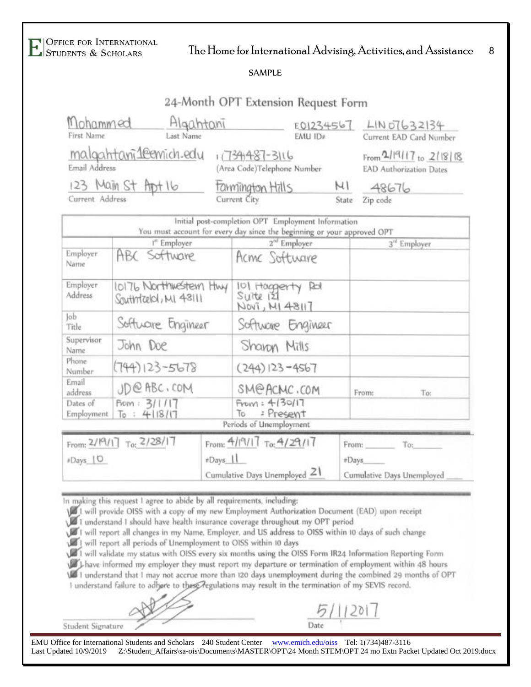# $\frac{1}{\sqrt{2}}$  Office for International Advising, Activities, and Assistance  $\frac{8}{\sqrt{2}}$

#### SAMPLE

### 24-Month OPT Extension Request Form

| Mohammed<br>Algahtani                 |           | E01234567                                    |         |                                                   | LIN 07632134            |  |
|---------------------------------------|-----------|----------------------------------------------|---------|---------------------------------------------------|-------------------------|--|
| First Name                            | Last Name |                                              | EMU ID# |                                                   | Current EAD Card Number |  |
| malgahtani1emich.edu<br>Email Address |           | 117341487-3116<br>Area Code)Telephone Number |         | From 2/19117 to 2/1818<br>EAD Authorization Dates |                         |  |
| 123 Main St Arpt 16                   |           | tamington Hills                              |         | μı                                                | 48676                   |  |
| Current Address                       |           | Current City                                 |         | State                                             | Zip code                |  |

|                         | <sup>1"</sup> Employer                       | $2^{\approx}$ Employer                           |       | 3 <sup>rd</sup> Employer |
|-------------------------|----------------------------------------------|--------------------------------------------------|-------|--------------------------|
| Employer<br>Name        | ABC Software                                 | Acmc Software                                    |       |                          |
| Employer<br>Address     | 10176 Northwestern Hwy<br>Southteld, MI 4311 | 101 Haggerty Ret<br>Sultel 121<br>NOVI, MI 48117 |       |                          |
| Job<br>Title.           | Software Engineer                            | Software Engineer                                |       |                          |
| Supervisor<br>Name      | John Doe                                     | Sharon Mills                                     |       |                          |
| Phone<br>Number         | $(744)123 - 5678$                            | $(244)$ $ 23 - 4567$                             |       |                          |
| Email<br>address        | JD@ABC, COM                                  | SM@ACMC.COM                                      | From: | To:                      |
| Dates of<br>Employment. | From: 3/1/17<br>To: 4118/17                  | From: 4130/17<br>: Present<br>To                 |       |                          |

| From: $2/19/17$ To: $2/28/17$ | From: $4/19/11$ To: $4/29/17$   | From:                      |
|-------------------------------|---------------------------------|----------------------------|
| #Days [O                      | $\pm$ Days $  $                 | #Days                      |
|                               | Cumulative Days Unemployed $21$ | Cumulative Days Unemployed |

In making this request I agree to abide by all requirements, including:

I will provide OISS with a copy of my new Employment Authorization Document (EAD) upon receipt 1 understand 1 should have health insurance coverage throughout my OPT period

I will report all changes in my Name, Employer, and US address to OISS within 10 days of such change

I will report all periods of Unemployment to OISS within 10 days

1 will validate my status with OISS every six months using the OISS Form IR24 Information Reporting Form

I have informed my employer they must report my departure or termination of employment within 48 hours I understand that I may not accrue more than 120 days unemployment during the combined 29 months of OPT

I understand failure to adhere to these regulations may result in the termination of my SEVIS record.

Date

Student Signature